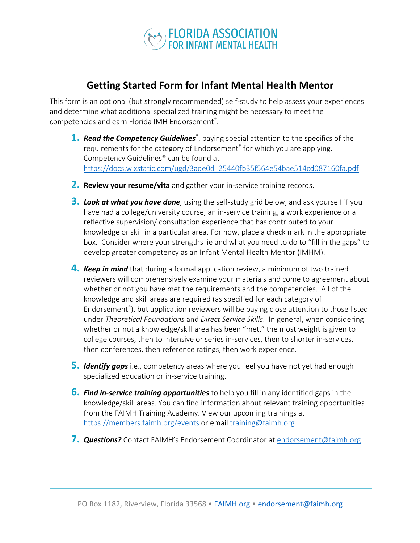

## **Getting Started Form for Infant Mental Health Mentor**

This form is an optional (but strongly recommended) self-study to help assess your experiences and determine what additional specialized training might be necessary to meet the competencies and earn Florida IMH Endorsement® .

- 1. Read the Competency Guidelines<sup>®</sup>, paying special attention to the specifics of the requirements for the category of Endorsement® for which you are applying. Competency Guidelines® can be found at https://docs.wixstatic.com/ugd/3ade0d\_25440fb35f564e54bae514cd087160fa.pdf
- **2. Review your resume/vita** and gather your in-service training records.
- **3.** *Look at what you have done*, using the self-study grid below, and ask yourself if you have had a college/university course, an in-service training, a work experience or a reflective supervision/ consultation experience that has contributed to your knowledge or skill in a particular area. For now, place a check mark in the appropriate box. Consider where your strengths lie and what you need to do to "fill in the gaps" to develop greater competency as an Infant Mental Health Mentor (IMHM).
- **4.** *Keep in mind* that during a formal application review, a minimum of two trained reviewers will comprehensively examine your materials and come to agreement about whether or not you have met the requirements and the competencies. All of the knowledge and skill areas are required (as specified for each category of Endorsement<sup>®</sup>), but application reviewers will be paying close attention to those listed under *Theoretical Foundations* and *Direct Service Skills*. In general, when considering whether or not a knowledge/skill area has been "met," the most weight is given to college courses, then to intensive or series in-services, then to shorter in-services, then conferences, then reference ratings, then work experience.
- **5.** *Identify gaps* i.e., competency areas where you feel you have not yet had enough specialized education or in-service training.
- **6.** *Find in-service training opportunities* to help you fill in any identified gaps in the knowledge/skill areas. You can find information about relevant training opportunities from the FAIMH Training Academy. View our upcoming trainings at https://members.faimh.org/events or email training@faimh.org
- **7.** *Questions?* Contact FAIMH's Endorsement Coordinator atendorsement@faimh.org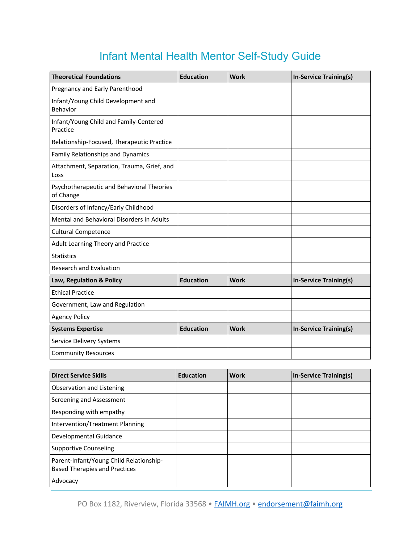## Infant Mental Health Mentor Self-Study Guide

| <b>Theoretical Foundations</b>                         | <b>Education</b> | <b>Work</b> | <b>In-Service Training(s)</b> |
|--------------------------------------------------------|------------------|-------------|-------------------------------|
| Pregnancy and Early Parenthood                         |                  |             |                               |
| Infant/Young Child Development and<br>Behavior         |                  |             |                               |
| Infant/Young Child and Family-Centered<br>Practice     |                  |             |                               |
| Relationship-Focused, Therapeutic Practice             |                  |             |                               |
| <b>Family Relationships and Dynamics</b>               |                  |             |                               |
| Attachment, Separation, Trauma, Grief, and<br>Loss     |                  |             |                               |
| Psychotherapeutic and Behavioral Theories<br>of Change |                  |             |                               |
| Disorders of Infancy/Early Childhood                   |                  |             |                               |
| Mental and Behavioral Disorders in Adults              |                  |             |                               |
| <b>Cultural Competence</b>                             |                  |             |                               |
| Adult Learning Theory and Practice                     |                  |             |                               |
| <b>Statistics</b>                                      |                  |             |                               |
| <b>Research and Evaluation</b>                         |                  |             |                               |
| Law, Regulation & Policy                               | <b>Education</b> | <b>Work</b> | <b>In-Service Training(s)</b> |
| <b>Ethical Practice</b>                                |                  |             |                               |
| Government, Law and Regulation                         |                  |             |                               |
| <b>Agency Policy</b>                                   |                  |             |                               |
| <b>Systems Expertise</b>                               | <b>Education</b> | <b>Work</b> | <b>In-Service Training(s)</b> |
| Service Delivery Systems                               |                  |             |                               |
| <b>Community Resources</b>                             |                  |             |                               |

| <b>Direct Service Skills</b>                                                    | <b>Education</b> | <b>Work</b> | In-Service Training(s) |
|---------------------------------------------------------------------------------|------------------|-------------|------------------------|
| Observation and Listening                                                       |                  |             |                        |
| Screening and Assessment                                                        |                  |             |                        |
| Responding with empathy                                                         |                  |             |                        |
| <b>Intervention/Treatment Planning</b>                                          |                  |             |                        |
| Developmental Guidance                                                          |                  |             |                        |
| Supportive Counseling                                                           |                  |             |                        |
| Parent-Infant/Young Child Relationship-<br><b>Based Therapies and Practices</b> |                  |             |                        |
| Advocacy                                                                        |                  |             |                        |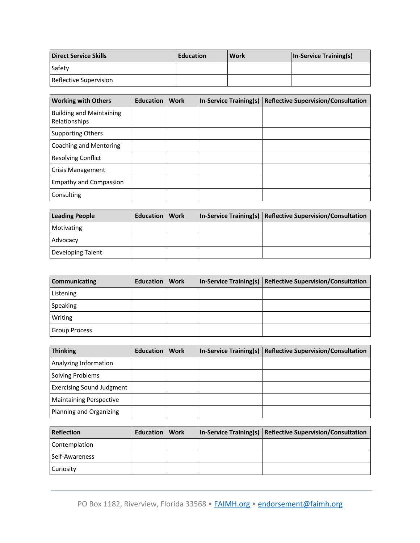| Direct Service Skills  | <b>Education</b> | <b>Work</b> | In-Service Training(s) |
|------------------------|------------------|-------------|------------------------|
| Safety                 |                  |             |                        |
| Reflective Supervision |                  |             |                        |

| <b>Working with Others</b>                       | <b>Education</b> | <b>Work</b> | <b>In-Service Training(s)</b> | <b>Reflective Supervision/Consultation</b> |
|--------------------------------------------------|------------------|-------------|-------------------------------|--------------------------------------------|
| <b>Building and Maintaining</b><br>Relationships |                  |             |                               |                                            |
| <b>Supporting Others</b>                         |                  |             |                               |                                            |
| Coaching and Mentoring                           |                  |             |                               |                                            |
| <b>Resolving Conflict</b>                        |                  |             |                               |                                            |
| <b>Crisis Management</b>                         |                  |             |                               |                                            |
| <b>Empathy and Compassion</b>                    |                  |             |                               |                                            |
| Consulting                                       |                  |             |                               |                                            |

| <b>Leading People</b> | <b>Education Work</b> |  | In-Service Training(s)   Reflective Supervision/Consultation |
|-----------------------|-----------------------|--|--------------------------------------------------------------|
| Motivating            |                       |  |                                                              |
| Advocacy              |                       |  |                                                              |
| Developing Talent     |                       |  |                                                              |

| <b>Communicating</b> | <b>Education Work</b> |  | In-Service Training(s) Reflective Supervision/Consultation |
|----------------------|-----------------------|--|------------------------------------------------------------|
| Listening            |                       |  |                                                            |
| Speaking             |                       |  |                                                            |
| Writing              |                       |  |                                                            |
| Group Process        |                       |  |                                                            |

| <b>Thinking</b>                  | <b>Education</b> | <b>Work</b> | In-Service Training(s)   Reflective Supervision/Consultation |
|----------------------------------|------------------|-------------|--------------------------------------------------------------|
| Analyzing Information            |                  |             |                                                              |
| Solving Problems                 |                  |             |                                                              |
| <b>Exercising Sound Judgment</b> |                  |             |                                                              |
| <b>Maintaining Perspective</b>   |                  |             |                                                              |
| Planning and Organizing          |                  |             |                                                              |

| <b>Reflection</b> | <b>Education Work</b> |  | In-Service Training(s) Reflective Supervision/Consultation |
|-------------------|-----------------------|--|------------------------------------------------------------|
| Contemplation     |                       |  |                                                            |
| Self-Awareness    |                       |  |                                                            |
| Curiosity         |                       |  |                                                            |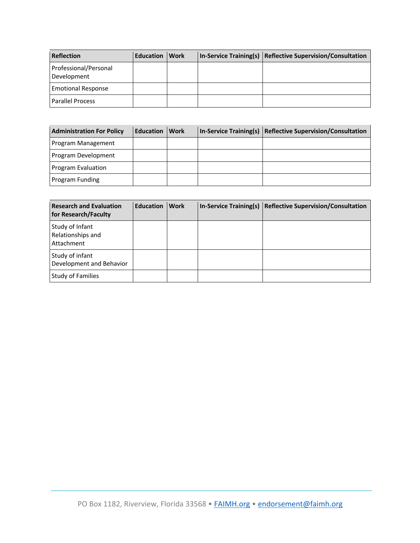| <b>Reflection</b>                    | Education | <b>Work</b> | In-Service Training(s) Reflective Supervision/Consultation |
|--------------------------------------|-----------|-------------|------------------------------------------------------------|
| Professional/Personal<br>Development |           |             |                                                            |
| <b>Emotional Response</b>            |           |             |                                                            |
| <b>Parallel Process</b>              |           |             |                                                            |

| <b>Administration For Policy</b> | Education | <b>Work</b> | <b>In-Service Training(s)</b> | Reflective Supervision/Consultation |
|----------------------------------|-----------|-------------|-------------------------------|-------------------------------------|
| Program Management               |           |             |                               |                                     |
| Program Development              |           |             |                               |                                     |
| Program Evaluation               |           |             |                               |                                     |
| Program Funding                  |           |             |                               |                                     |

| <b>Research and Evaluation</b><br>for Research/Faculty | <b>Education</b> | Work | In-Service Training(s)   Reflective Supervision/Consultation |
|--------------------------------------------------------|------------------|------|--------------------------------------------------------------|
| Study of Infant<br>Relationships and<br>Attachment     |                  |      |                                                              |
| Study of infant<br>Development and Behavior            |                  |      |                                                              |
| <b>Study of Families</b>                               |                  |      |                                                              |